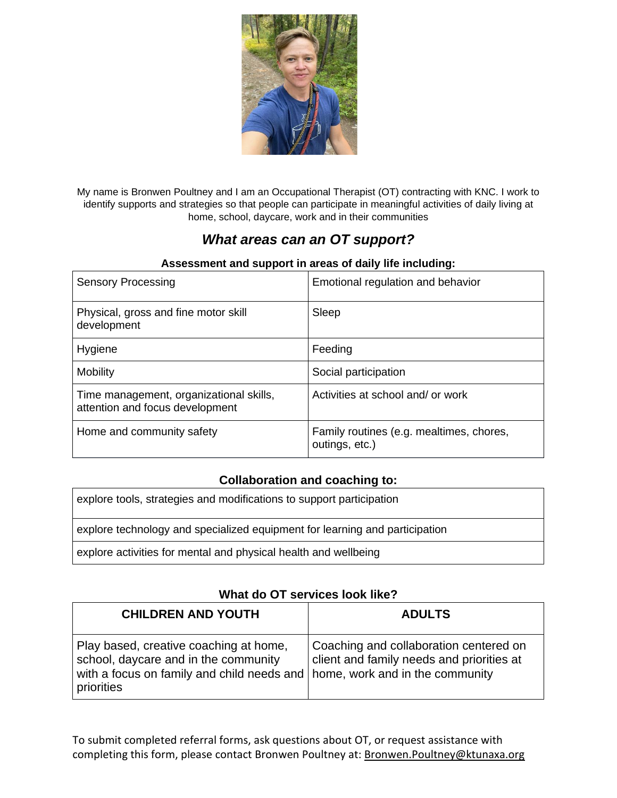

My name is Bronwen Poultney and I am an Occupational Therapist (OT) contracting with KNC. I work to identify supports and strategies so that people can participate in meaningful activities of daily living at home, school, daycare, work and in their communities

# *What areas can an OT support?*

#### **Assessment and support in areas of daily life including:**

| <b>Sensory Processing</b>                                                  | Emotional regulation and behavior                          |
|----------------------------------------------------------------------------|------------------------------------------------------------|
| Physical, gross and fine motor skill<br>development                        | Sleep                                                      |
| Hygiene                                                                    | Feeding                                                    |
| <b>Mobility</b>                                                            | Social participation                                       |
| Time management, organizational skills,<br>attention and focus development | Activities at school and/ or work                          |
| Home and community safety                                                  | Family routines (e.g. mealtimes, chores,<br>outings, etc.) |

# **Collaboration and coaching to:**

| explore tools, strategies and modifications to support participation        |
|-----------------------------------------------------------------------------|
| explore technology and specialized equipment for learning and participation |
| explore activities for mental and physical health and wellbeing             |

# **What do OT services look like?**

| <b>CHILDREN AND YOUTH</b>                                                                                                                                                    | <b>ADULTS</b>                                                                       |
|------------------------------------------------------------------------------------------------------------------------------------------------------------------------------|-------------------------------------------------------------------------------------|
| Play based, creative coaching at home,<br>school, daycare and in the community<br>with a focus on family and child needs and   home, work and in the community<br>priorities | Coaching and collaboration centered on<br>client and family needs and priorities at |

To submit completed referral forms, ask questions about OT, or request assistance with completing this form, please contact Bronwen Poultney at: [Bronwen.Poultney@ktunaxa.org](mailto:Bronwen.Poultney@ktunaxa.org)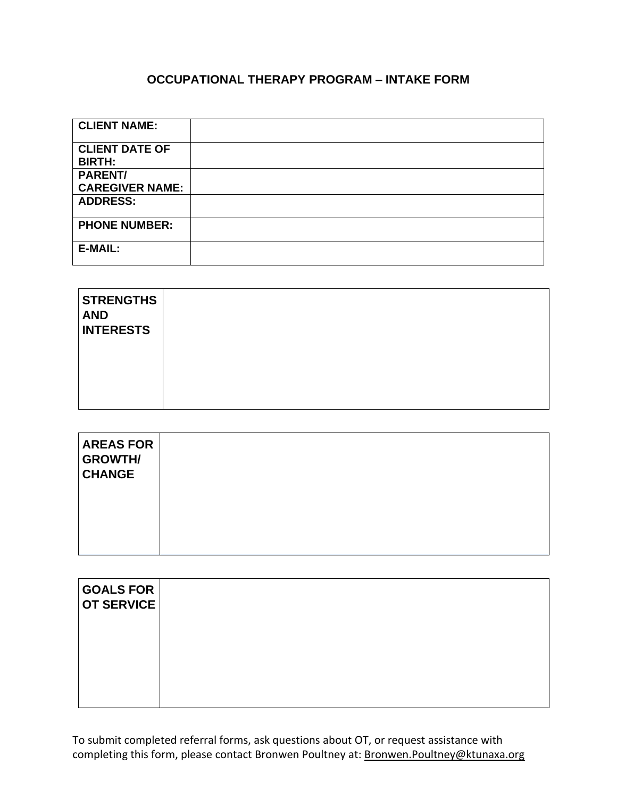# **OCCUPATIONAL THERAPY PROGRAM – INTAKE FORM**

| <b>CLIENT NAME:</b>                    |  |
|----------------------------------------|--|
| <b>CLIENT DATE OF</b><br><b>BIRTH:</b> |  |
| PARENT/<br><b>CAREGIVER NAME:</b>      |  |
| <b>ADDRESS:</b>                        |  |
| <b>PHONE NUMBER:</b>                   |  |
| <b>E-MAIL:</b>                         |  |

| <b>STRENGTHS</b><br><b>AND</b><br><b>INTERESTS</b> |  |
|----------------------------------------------------|--|
|                                                    |  |

| <b>AREAS FOR</b><br><b>GROWTH/</b><br><b>CHANGE</b> |  |
|-----------------------------------------------------|--|
|                                                     |  |

| <b>GOALS FOR</b><br>$ $ OT SERVICE $ $ |  |  |
|----------------------------------------|--|--|
|                                        |  |  |
|                                        |  |  |
|                                        |  |  |

To submit completed referral forms, ask questions about OT, or request assistance with completing this form, please contact Bronwen Poultney at: [Bronwen.Poultney@ktunaxa.org](mailto:Bronwen.Poultney@ktunaxa.org)